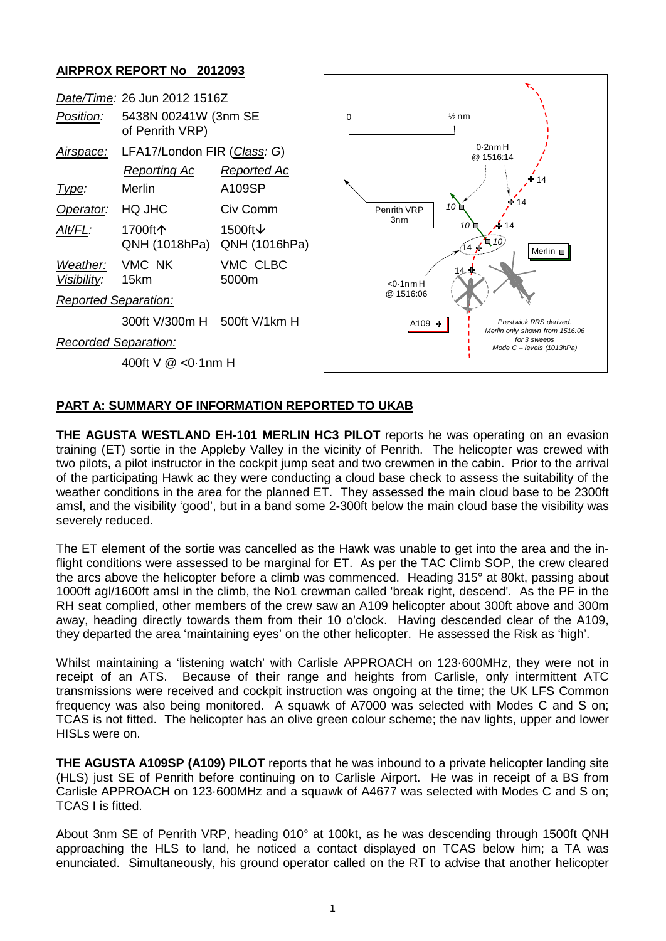## **AIRPROX REPORT No 2012093**

| Date/Time: 26 Jun 2012 1516Z |                                             |                                      |                                                                                                                                             |
|------------------------------|---------------------------------------------|--------------------------------------|---------------------------------------------------------------------------------------------------------------------------------------------|
| Position:                    | 5438N 00241W (3nm SE<br>of Penrith VRP)     |                                      | $\frac{1}{2}$ nm<br>$\Omega$                                                                                                                |
| <u>Airspace:</u>             | LFA17/London FIR (Class: G)<br>Reporting Ac | Reported Ac                          | $0.2$ nm $H$<br>@ 1516:14<br>14                                                                                                             |
| <u>Type:</u>                 | Merlin                                      | A109SP                               |                                                                                                                                             |
| Operator:                    | HQ JHC                                      | Civ Comm                             | 14<br>$10^{\circ}$<br>Penrith VRP<br>3 <sub>n</sub><br>$\bigtriangleup$ 14<br>$10 \square$<br>1470<br>Merlin $\blacksquare$<br>$< 0.1$ nm H |
| Alt/FL:                      | 1700ft个<br>QNH (1018hPa)                    | 1500ft $\downarrow$<br>QNH (1016hPa) |                                                                                                                                             |
| Weather:<br>Visibility:      | VMC NK<br>15km                              | VMC CLBC<br>5000m                    |                                                                                                                                             |
| <b>Reported Separation:</b>  |                                             |                                      | @ 1516:06                                                                                                                                   |
|                              | 300ft V/300m H 500ft V/1km H                |                                      | Prestwick RRS derived.<br>A109 ÷                                                                                                            |
| Recorded Separation:         |                                             |                                      | Merlin only shown from 1516:06<br>for 3 sweeps<br>Mode C - levels (1013hPa)                                                                 |
| 400ft V @ <0.1nm H           |                                             |                                      |                                                                                                                                             |

## **PART A: SUMMARY OF INFORMATION REPORTED TO UKAB**

**THE AGUSTA WESTLAND EH-101 MERLIN HC3 PILOT** reports he was operating on an evasion training (ET) sortie in the Appleby Valley in the vicinity of Penrith. The helicopter was crewed with two pilots, a pilot instructor in the cockpit jump seat and two crewmen in the cabin. Prior to the arrival of the participating Hawk ac they were conducting a cloud base check to assess the suitability of the weather conditions in the area for the planned ET. They assessed the main cloud base to be 2300ft amsl, and the visibility 'good', but in a band some 2-300ft below the main cloud base the visibility was severely reduced.

The ET element of the sortie was cancelled as the Hawk was unable to get into the area and the inflight conditions were assessed to be marginal for ET. As per the TAC Climb SOP, the crew cleared the arcs above the helicopter before a climb was commenced. Heading 315° at 80kt, passing about 1000ft agl/1600ft amsl in the climb, the No1 crewman called 'break right, descend'. As the PF in the RH seat complied, other members of the crew saw an A109 helicopter about 300ft above and 300m away, heading directly towards them from their 10 o'clock. Having descended clear of the A109, they departed the area 'maintaining eyes' on the other helicopter. He assessed the Risk as 'high'.

Whilst maintaining a 'listening watch' with Carlisle APPROACH on 123.600MHz, they were not in receipt of an ATS. Because of their range and heights from Carlisle, only intermittent ATC transmissions were received and cockpit instruction was ongoing at the time; the UK LFS Common frequency was also being monitored. A squawk of A7000 was selected with Modes C and S on; TCAS is not fitted. The helicopter has an olive green colour scheme; the nav lights, upper and lower HISLs were on.

**THE AGUSTA A109SP (A109) PILOT** reports that he was inbound to a private helicopter landing site (HLS) just SE of Penrith before continuing on to Carlisle Airport. He was in receipt of a BS from Carlisle APPROACH on 123·600MHz and a squawk of A4677 was selected with Modes C and S on; TCAS I is fitted.

About 3nm SE of Penrith VRP, heading 010° at 100kt, as he was descending through 1500ft QNH approaching the HLS to land, he noticed a contact displayed on TCAS below him; a TA was enunciated. Simultaneously, his ground operator called on the RT to advise that another helicopter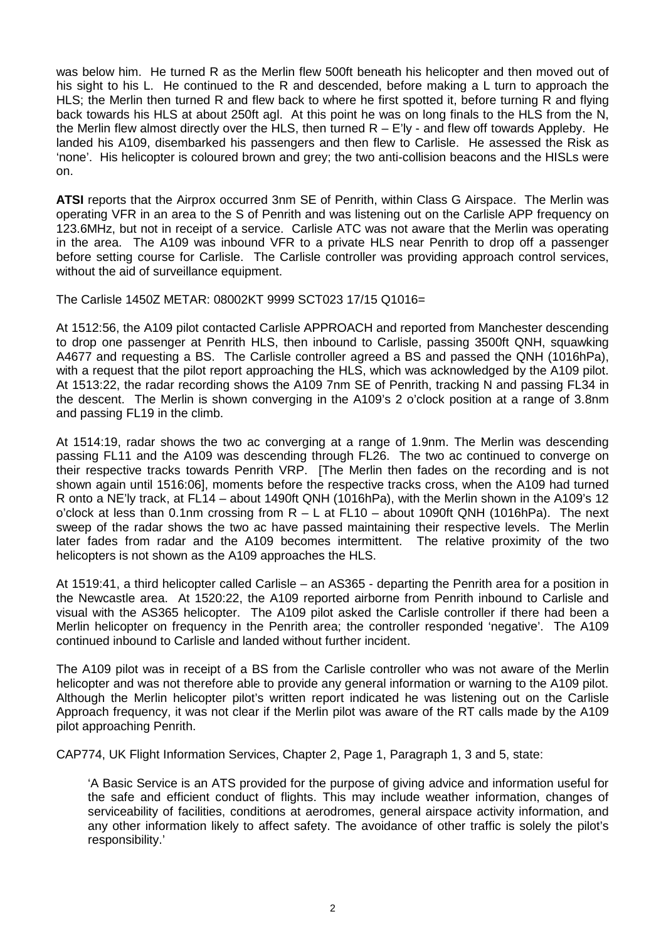was below him. He turned R as the Merlin flew 500ft beneath his helicopter and then moved out of his sight to his L. He continued to the R and descended, before making a L turn to approach the HLS; the Merlin then turned R and flew back to where he first spotted it, before turning R and flying back towards his HLS at about 250ft agl. At this point he was on long finals to the HLS from the N, the Merlin flew almost directly over the HLS, then turned  $R - E'$ ly - and flew off towards Appleby. He landed his A109, disembarked his passengers and then flew to Carlisle. He assessed the Risk as 'none'. His helicopter is coloured brown and grey; the two anti-collision beacons and the HISLs were on.

**ATSI** reports that the Airprox occurred 3nm SE of Penrith, within Class G Airspace. The Merlin was operating VFR in an area to the S of Penrith and was listening out on the Carlisle APP frequency on 123.6MHz, but not in receipt of a service. Carlisle ATC was not aware that the Merlin was operating in the area. The A109 was inbound VFR to a private HLS near Penrith to drop off a passenger before setting course for Carlisle. The Carlisle controller was providing approach control services, without the aid of surveillance equipment.

The Carlisle 1450Z METAR: 08002KT 9999 SCT023 17/15 Q1016=

At 1512:56, the A109 pilot contacted Carlisle APPROACH and reported from Manchester descending to drop one passenger at Penrith HLS, then inbound to Carlisle, passing 3500ft QNH, squawking A4677 and requesting a BS. The Carlisle controller agreed a BS and passed the QNH (1016hPa), with a request that the pilot report approaching the HLS, which was acknowledged by the A109 pilot. At 1513:22, the radar recording shows the A109 7nm SE of Penrith, tracking N and passing FL34 in the descent. The Merlin is shown converging in the A109's 2 o'clock position at a range of 3.8nm and passing FL19 in the climb.

At 1514:19, radar shows the two ac converging at a range of 1.9nm. The Merlin was descending passing FL11 and the A109 was descending through FL26. The two ac continued to converge on their respective tracks towards Penrith VRP. [The Merlin then fades on the recording and is not shown again until 1516:06], moments before the respective tracks cross, when the A109 had turned R onto a NE'ly track, at FL14 – about 1490ft QNH (1016hPa), with the Merlin shown in the A109's 12 o'clock at less than 0.1nm crossing from  $R - L$  at FL10 – about 1090ft QNH (1016hPa). The next sweep of the radar shows the two ac have passed maintaining their respective levels. The Merlin later fades from radar and the A109 becomes intermittent. The relative proximity of the two helicopters is not shown as the A109 approaches the HLS.

At 1519:41, a third helicopter called Carlisle – an AS365 - departing the Penrith area for a position in the Newcastle area. At 1520:22, the A109 reported airborne from Penrith inbound to Carlisle and visual with the AS365 helicopter. The A109 pilot asked the Carlisle controller if there had been a Merlin helicopter on frequency in the Penrith area; the controller responded 'negative'. The A109 continued inbound to Carlisle and landed without further incident.

The A109 pilot was in receipt of a BS from the Carlisle controller who was not aware of the Merlin helicopter and was not therefore able to provide any general information or warning to the A109 pilot. Although the Merlin helicopter pilot's written report indicated he was listening out on the Carlisle Approach frequency, it was not clear if the Merlin pilot was aware of the RT calls made by the A109 pilot approaching Penrith.

CAP774, UK Flight Information Services, Chapter 2, Page 1, Paragraph 1, 3 and 5, state:

'A Basic Service is an ATS provided for the purpose of giving advice and information useful for the safe and efficient conduct of flights. This may include weather information, changes of serviceability of facilities, conditions at aerodromes, general airspace activity information, and any other information likely to affect safety. The avoidance of other traffic is solely the pilot's responsibility.'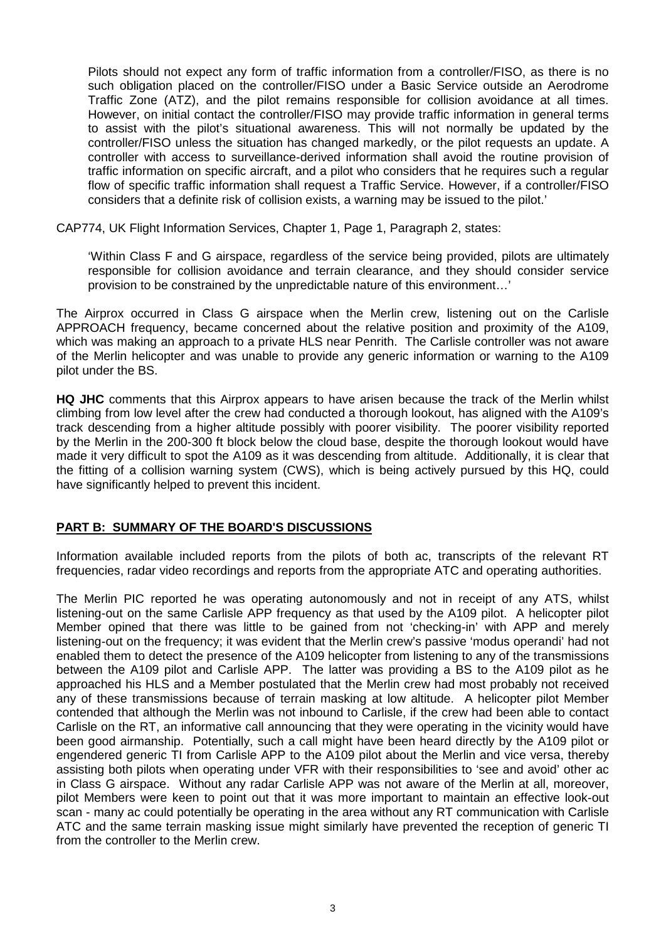Pilots should not expect any form of traffic information from a controller/FISO, as there is no such obligation placed on the controller/FISO under a Basic Service outside an Aerodrome Traffic Zone (ATZ), and the pilot remains responsible for collision avoidance at all times. However, on initial contact the controller/FISO may provide traffic information in general terms to assist with the pilot's situational awareness. This will not normally be updated by the controller/FISO unless the situation has changed markedly, or the pilot requests an update. A controller with access to surveillance-derived information shall avoid the routine provision of traffic information on specific aircraft, and a pilot who considers that he requires such a regular flow of specific traffic information shall request a Traffic Service. However, if a controller/FISO considers that a definite risk of collision exists, a warning may be issued to the pilot.'

CAP774, UK Flight Information Services, Chapter 1, Page 1, Paragraph 2, states:

'Within Class F and G airspace, regardless of the service being provided, pilots are ultimately responsible for collision avoidance and terrain clearance, and they should consider service provision to be constrained by the unpredictable nature of this environment…'

The Airprox occurred in Class G airspace when the Merlin crew, listening out on the Carlisle APPROACH frequency, became concerned about the relative position and proximity of the A109, which was making an approach to a private HLS near Penrith. The Carlisle controller was not aware of the Merlin helicopter and was unable to provide any generic information or warning to the A109 pilot under the BS.

**HQ JHC** comments that this Airprox appears to have arisen because the track of the Merlin whilst climbing from low level after the crew had conducted a thorough lookout, has aligned with the A109's track descending from a higher altitude possibly with poorer visibility. The poorer visibility reported by the Merlin in the 200-300 ft block below the cloud base, despite the thorough lookout would have made it very difficult to spot the A109 as it was descending from altitude. Additionally, it is clear that the fitting of a collision warning system (CWS), which is being actively pursued by this HQ, could have significantly helped to prevent this incident.

## **PART B: SUMMARY OF THE BOARD'S DISCUSSIONS**

Information available included reports from the pilots of both ac, transcripts of the relevant RT frequencies, radar video recordings and reports from the appropriate ATC and operating authorities.

The Merlin PIC reported he was operating autonomously and not in receipt of any ATS, whilst listening-out on the same Carlisle APP frequency as that used by the A109 pilot. A helicopter pilot Member opined that there was little to be gained from not 'checking-in' with APP and merely listening-out on the frequency; it was evident that the Merlin crew's passive 'modus operandi' had not enabled them to detect the presence of the A109 helicopter from listening to any of the transmissions between the A109 pilot and Carlisle APP. The latter was providing a BS to the A109 pilot as he approached his HLS and a Member postulated that the Merlin crew had most probably not received any of these transmissions because of terrain masking at low altitude. A helicopter pilot Member contended that although the Merlin was not inbound to Carlisle, if the crew had been able to contact Carlisle on the RT, an informative call announcing that they were operating in the vicinity would have been good airmanship. Potentially, such a call might have been heard directly by the A109 pilot or engendered generic TI from Carlisle APP to the A109 pilot about the Merlin and vice versa, thereby assisting both pilots when operating under VFR with their responsibilities to 'see and avoid' other ac in Class G airspace. Without any radar Carlisle APP was not aware of the Merlin at all, moreover, pilot Members were keen to point out that it was more important to maintain an effective look-out scan - many ac could potentially be operating in the area without any RT communication with Carlisle ATC and the same terrain masking issue might similarly have prevented the reception of generic TI from the controller to the Merlin crew.